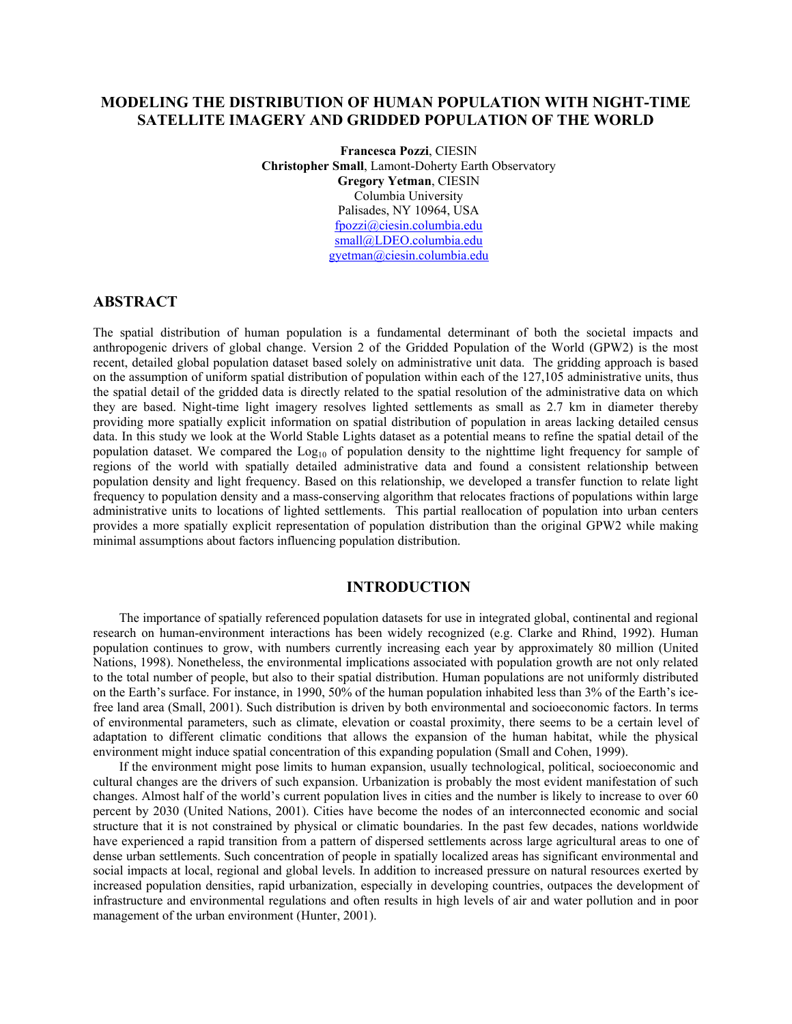# **MODELING THE DISTRIBUTION OF HUMAN POPULATION WITH NIGHT-TIME SATELLITE IMAGERY AND GRIDDED POPULATION OF THE WORLD**

**Francesca Pozzi**, CIESIN **Christopher Small**, Lamont-Doherty Earth Observatory **Gregory Yetman**, CIESIN Columbia University Palisades, NY 10964, USA fpozzi@ciesin.columbia.edu small@LDEO.columbia.edu gyetman@ciesin.columbia.edu

## **ABSTRACT**

The spatial distribution of human population is a fundamental determinant of both the societal impacts and anthropogenic drivers of global change. Version 2 of the Gridded Population of the World (GPW2) is the most recent, detailed global population dataset based solely on administrative unit data. The gridding approach is based on the assumption of uniform spatial distribution of population within each of the 127,105 administrative units, thus the spatial detail of the gridded data is directly related to the spatial resolution of the administrative data on which they are based. Night-time light imagery resolves lighted settlements as small as 2.7 km in diameter thereby providing more spatially explicit information on spatial distribution of population in areas lacking detailed census data. In this study we look at the World Stable Lights dataset as a potential means to refine the spatial detail of the population dataset. We compared the Log<sub>10</sub> of population density to the nighttime light frequency for sample of regions of the world with spatially detailed administrative data and found a consistent relationship between population density and light frequency. Based on this relationship, we developed a transfer function to relate light frequency to population density and a mass-conserving algorithm that relocates fractions of populations within large administrative units to locations of lighted settlements. This partial reallocation of population into urban centers provides a more spatially explicit representation of population distribution than the original GPW2 while making minimal assumptions about factors influencing population distribution.

## **INTRODUCTION**

The importance of spatially referenced population datasets for use in integrated global, continental and regional research on human-environment interactions has been widely recognized (e.g. Clarke and Rhind, 1992). Human population continues to grow, with numbers currently increasing each year by approximately 80 million (United Nations, 1998). Nonetheless, the environmental implications associated with population growth are not only related to the total number of people, but also to their spatial distribution. Human populations are not uniformly distributed on the Earth's surface. For instance, in 1990, 50% of the human population inhabited less than 3% of the Earth's icefree land area (Small, 2001). Such distribution is driven by both environmental and socioeconomic factors. In terms of environmental parameters, such as climate, elevation or coastal proximity, there seems to be a certain level of adaptation to different climatic conditions that allows the expansion of the human habitat, while the physical environment might induce spatial concentration of this expanding population (Small and Cohen, 1999).

If the environment might pose limits to human expansion, usually technological, political, socioeconomic and cultural changes are the drivers of such expansion. Urbanization is probably the most evident manifestation of such changes. Almost half of the world's current population lives in cities and the number is likely to increase to over 60 percent by 2030 (United Nations, 2001). Cities have become the nodes of an interconnected economic and social structure that it is not constrained by physical or climatic boundaries. In the past few decades, nations worldwide have experienced a rapid transition from a pattern of dispersed settlements across large agricultural areas to one of dense urban settlements. Such concentration of people in spatially localized areas has significant environmental and social impacts at local, regional and global levels. In addition to increased pressure on natural resources exerted by increased population densities, rapid urbanization, especially in developing countries, outpaces the development of infrastructure and environmental regulations and often results in high levels of air and water pollution and in poor management of the urban environment (Hunter, 2001).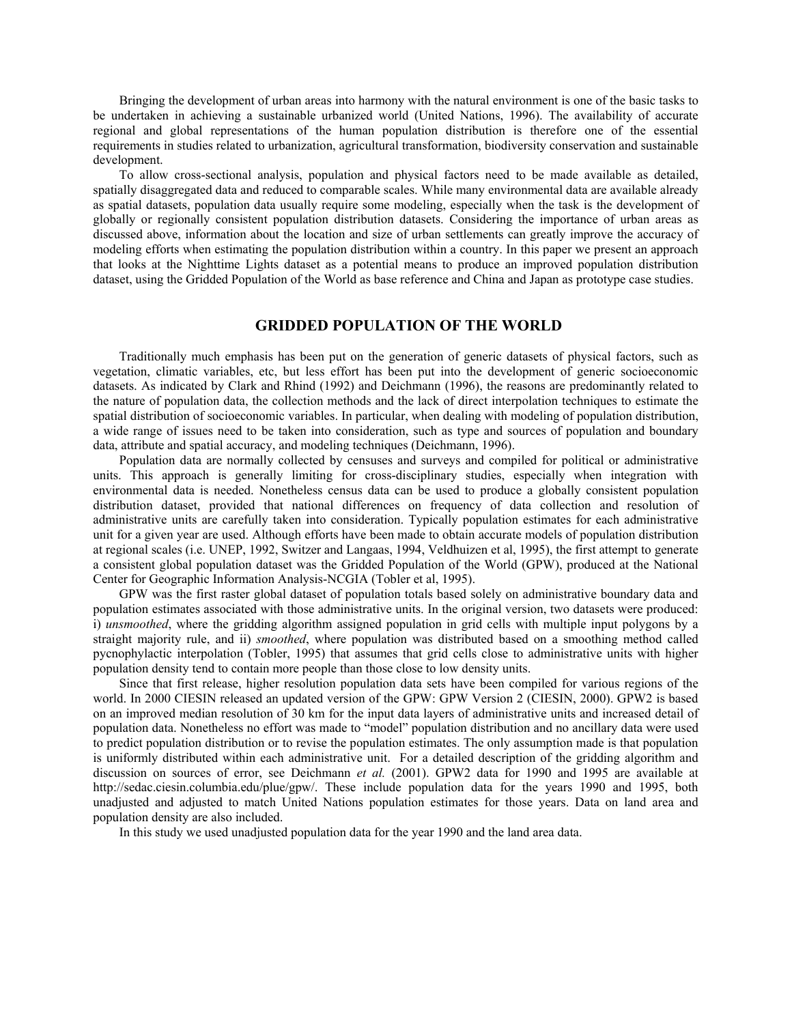Bringing the development of urban areas into harmony with the natural environment is one of the basic tasks to be undertaken in achieving a sustainable urbanized world (United Nations, 1996). The availability of accurate regional and global representations of the human population distribution is therefore one of the essential requirements in studies related to urbanization, agricultural transformation, biodiversity conservation and sustainable development.

To allow cross-sectional analysis, population and physical factors need to be made available as detailed, spatially disaggregated data and reduced to comparable scales. While many environmental data are available already as spatial datasets, population data usually require some modeling, especially when the task is the development of globally or regionally consistent population distribution datasets. Considering the importance of urban areas as discussed above, information about the location and size of urban settlements can greatly improve the accuracy of modeling efforts when estimating the population distribution within a country. In this paper we present an approach that looks at the Nighttime Lights dataset as a potential means to produce an improved population distribution dataset, using the Gridded Population of the World as base reference and China and Japan as prototype case studies.

## **GRIDDED POPULATION OF THE WORLD**

Traditionally much emphasis has been put on the generation of generic datasets of physical factors, such as vegetation, climatic variables, etc, but less effort has been put into the development of generic socioeconomic datasets. As indicated by Clark and Rhind (1992) and Deichmann (1996), the reasons are predominantly related to the nature of population data, the collection methods and the lack of direct interpolation techniques to estimate the spatial distribution of socioeconomic variables. In particular, when dealing with modeling of population distribution, a wide range of issues need to be taken into consideration, such as type and sources of population and boundary data, attribute and spatial accuracy, and modeling techniques (Deichmann, 1996).

Population data are normally collected by censuses and surveys and compiled for political or administrative units. This approach is generally limiting for cross-disciplinary studies, especially when integration with environmental data is needed. Nonetheless census data can be used to produce a globally consistent population distribution dataset, provided that national differences on frequency of data collection and resolution of administrative units are carefully taken into consideration. Typically population estimates for each administrative unit for a given year are used. Although efforts have been made to obtain accurate models of population distribution at regional scales (i.e. UNEP, 1992, Switzer and Langaas, 1994, Veldhuizen et al, 1995), the first attempt to generate a consistent global population dataset was the Gridded Population of the World (GPW), produced at the National Center for Geographic Information Analysis-NCGIA (Tobler et al, 1995).

GPW was the first raster global dataset of population totals based solely on administrative boundary data and population estimates associated with those administrative units. In the original version, two datasets were produced: i) *unsmoothed*, where the gridding algorithm assigned population in grid cells with multiple input polygons by a straight majority rule, and ii) *smoothed*, where population was distributed based on a smoothing method called pycnophylactic interpolation (Tobler, 1995) that assumes that grid cells close to administrative units with higher population density tend to contain more people than those close to low density units.

Since that first release, higher resolution population data sets have been compiled for various regions of the world. In 2000 CIESIN released an updated version of the GPW: GPW Version 2 (CIESIN, 2000). GPW2 is based on an improved median resolution of 30 km for the input data layers of administrative units and increased detail of population data. Nonetheless no effort was made to "model" population distribution and no ancillary data were used to predict population distribution or to revise the population estimates. The only assumption made is that population is uniformly distributed within each administrative unit. For a detailed description of the gridding algorithm and discussion on sources of error, see Deichmann *et al.* (2001). GPW2 data for 1990 and 1995 are available at http://sedac.ciesin.columbia.edu/plue/gpw/. These include population data for the years 1990 and 1995, both unadjusted and adjusted to match United Nations population estimates for those years. Data on land area and population density are also included.

In this study we used unadjusted population data for the year 1990 and the land area data.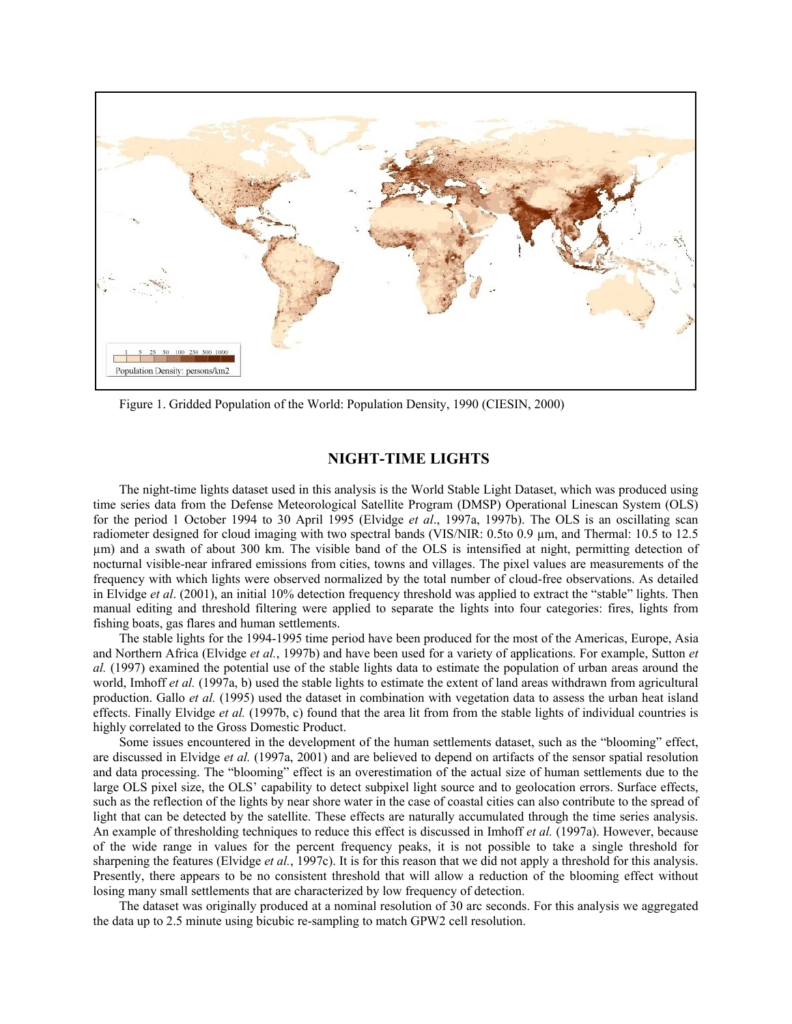

Figure 1. Gridded Population of the World: Population Density, 1990 (CIESIN, 2000)

# **NIGHT-TIME LIGHTS**

The night-time lights dataset used in this analysis is the World Stable Light Dataset, which was produced using time series data from the Defense Meteorological Satellite Program (DMSP) Operational Linescan System (OLS) for the period 1 October 1994 to 30 April 1995 (Elvidge *et al*., 1997a, 1997b). The OLS is an oscillating scan radiometer designed for cloud imaging with two spectral bands (VIS/NIR: 0.5to 0.9 µm, and Thermal: 10.5 to 12.5 µm) and a swath of about 300 km. The visible band of the OLS is intensified at night, permitting detection of nocturnal visible-near infrared emissions from cities, towns and villages. The pixel values are measurements of the frequency with which lights were observed normalized by the total number of cloud-free observations. As detailed in Elvidge *et al*. (2001), an initial 10% detection frequency threshold was applied to extract the "stable" lights. Then manual editing and threshold filtering were applied to separate the lights into four categories: fires, lights from fishing boats, gas flares and human settlements.

The stable lights for the 1994-1995 time period have been produced for the most of the Americas, Europe, Asia and Northern Africa (Elvidge *et al.*, 1997b) and have been used for a variety of applications. For example, Sutton *et al.* (1997) examined the potential use of the stable lights data to estimate the population of urban areas around the world, Imhoff *et al.* (1997a, b) used the stable lights to estimate the extent of land areas withdrawn from agricultural production. Gallo *et al.* (1995) used the dataset in combination with vegetation data to assess the urban heat island effects. Finally Elvidge *et al.* (1997b, c) found that the area lit from from the stable lights of individual countries is highly correlated to the Gross Domestic Product.

Some issues encountered in the development of the human settlements dataset, such as the "blooming" effect, are discussed in Elvidge *et al.* (1997a, 2001) and are believed to depend on artifacts of the sensor spatial resolution and data processing. The "blooming" effect is an overestimation of the actual size of human settlements due to the large OLS pixel size, the OLS' capability to detect subpixel light source and to geolocation errors. Surface effects, such as the reflection of the lights by near shore water in the case of coastal cities can also contribute to the spread of light that can be detected by the satellite. These effects are naturally accumulated through the time series analysis. An example of thresholding techniques to reduce this effect is discussed in Imhoff *et al.* (1997a). However, because of the wide range in values for the percent frequency peaks, it is not possible to take a single threshold for sharpening the features (Elvidge *et al.*, 1997c). It is for this reason that we did not apply a threshold for this analysis. Presently, there appears to be no consistent threshold that will allow a reduction of the blooming effect without losing many small settlements that are characterized by low frequency of detection.

The dataset was originally produced at a nominal resolution of 30 arc seconds. For this analysis we aggregated the data up to 2.5 minute using bicubic re-sampling to match GPW2 cell resolution.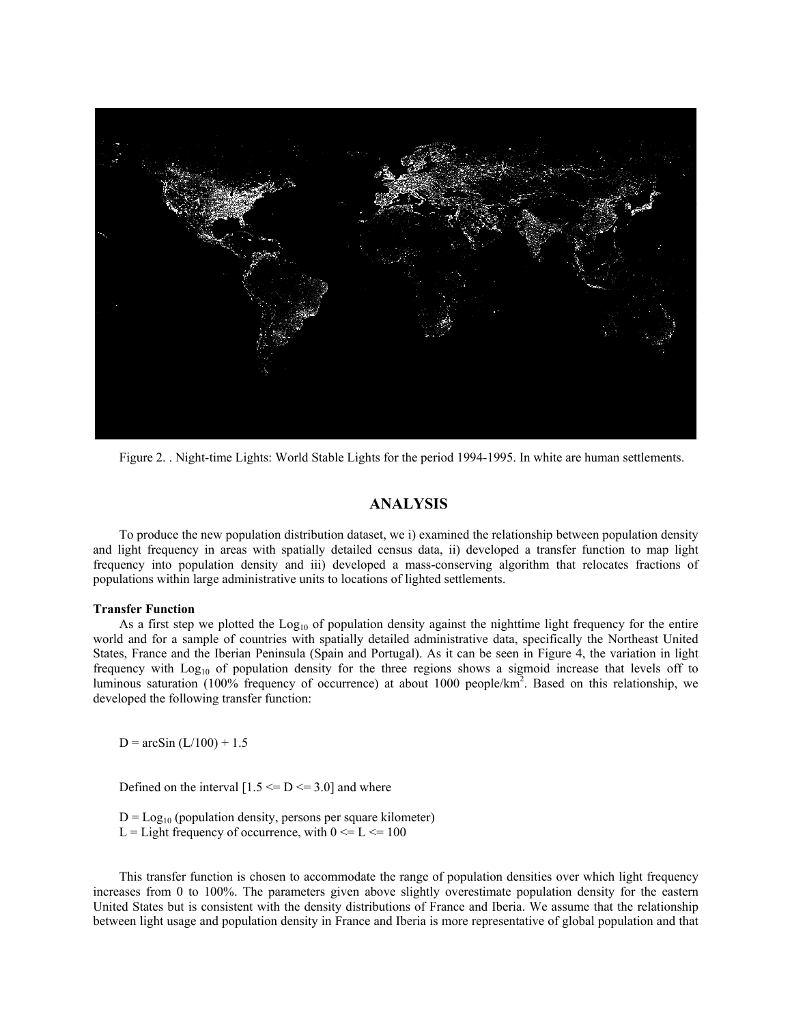

Figure 2. . Night-time Lights: World Stable Lights for the period 1994-1995. In white are human settlements.

## **ANALYSIS**

To produce the new population distribution dataset, we i) examined the relationship between population density and light frequency in areas with spatially detailed census data, ii) developed a transfer function to map light frequency into population density and iii) developed a mass-conserving algorithm that relocates fractions of populations within large administrative units to locations of lighted settlements.

#### **Transfer Function**

As a first step we plotted the  $\text{Log}_{10}$  of population density against the nighttime light frequency for the entire world and for a sample of countries with spatially detailed administrative data, specifically the Northeast United States, France and the Iberian Peninsula (Spain and Portugal). As it can be seen in Figure 4, the variation in light frequency with Log10 of population density for the three regions shows a sigmoid increase that levels off to luminous saturation (100% frequency of occurrence) at about 1000 people/km<sup>2</sup>. Based on this relationship, we developed the following transfer function:

 $D = \arcsin(L/100) + 1.5$ 

Defined on the interval  $[1.5 \leq D \leq 3.0]$  and where

 $D = Log_{10}$  (population density, persons per square kilometer) L = Light frequency of occurrence, with  $0 \le L \le 100$ 

This transfer function is chosen to accommodate the range of population densities over which light frequency increases from 0 to 100%. The parameters given above slightly overestimate population density for the eastern United States but is consistent with the density distributions of France and Iberia. We assume that the relationship between light usage and population density in France and Iberia is more representative of global population and that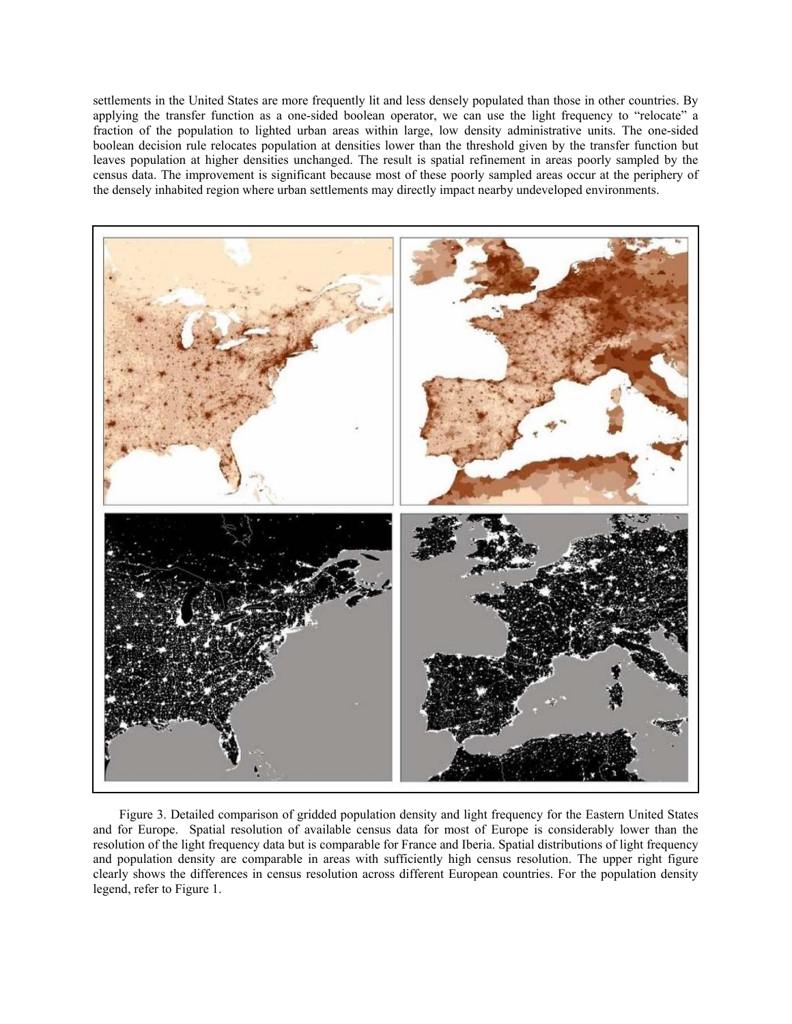settlements in the United States are more frequently lit and less densely populated than those in other countries. By applying the transfer function as a one-sided boolean operator, we can use the light frequency to "relocate" a fraction of the population to lighted urban areas within large, low density administrative units. The one-sided boolean decision rule relocates population at densities lower than the threshold given by the transfer function but leaves population at higher densities unchanged. The result is spatial refinement in areas poorly sampled by the census data. The improvement is significant because most of these poorly sampled areas occur at the periphery of the densely inhabited region where urban settlements may directly impact nearby undeveloped environments.



Figure 3. Detailed comparison of gridded population density and light frequency for the Eastern United States and for Europe. Spatial resolution of available census data for most of Europe is considerably lower than the resolution of the light frequency data but is comparable for France and Iberia. Spatial distributions of light frequency and population density are comparable in areas with sufficiently high census resolution. The upper right figure clearly shows the differences in census resolution across different European countries. For the population density legend, refer to Figure 1.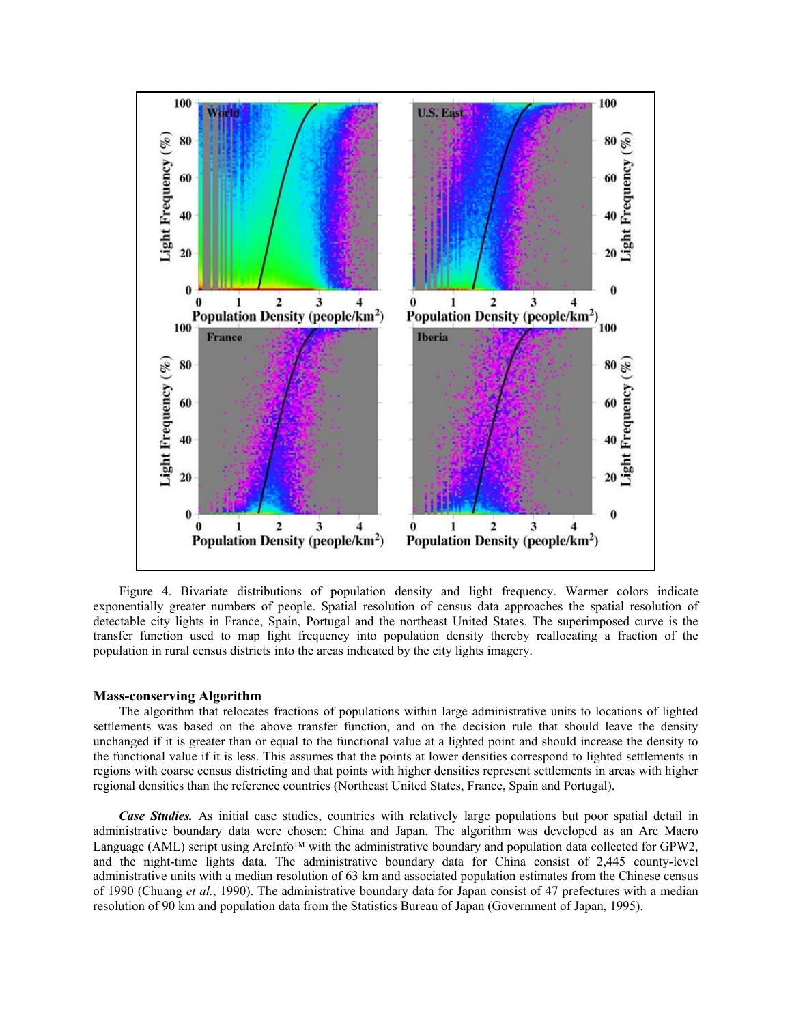

Figure 4. Bivariate distributions of population density and light frequency. Warmer colors indicate exponentially greater numbers of people. Spatial resolution of census data approaches the spatial resolution of detectable city lights in France, Spain, Portugal and the northeast United States. The superimposed curve is the transfer function used to map light frequency into population density thereby reallocating a fraction of the population in rural census districts into the areas indicated by the city lights imagery.

### **Mass-conserving Algorithm**

The algorithm that relocates fractions of populations within large administrative units to locations of lighted settlements was based on the above transfer function, and on the decision rule that should leave the density unchanged if it is greater than or equal to the functional value at a lighted point and should increase the density to the functional value if it is less. This assumes that the points at lower densities correspond to lighted settlements in regions with coarse census districting and that points with higher densities represent settlements in areas with higher regional densities than the reference countries (Northeast United States, France, Spain and Portugal).

*Case Studies.* As initial case studies, countries with relatively large populations but poor spatial detail in administrative boundary data were chosen: China and Japan. The algorithm was developed as an Arc Macro Language (AML) script using ArcInfo™ with the administrative boundary and population data collected for GPW2, and the night-time lights data. The administrative boundary data for China consist of 2,445 county-level administrative units with a median resolution of 63 km and associated population estimates from the Chinese census of 1990 (Chuang *et al.*, 1990). The administrative boundary data for Japan consist of 47 prefectures with a median resolution of 90 km and population data from the Statistics Bureau of Japan (Government of Japan, 1995).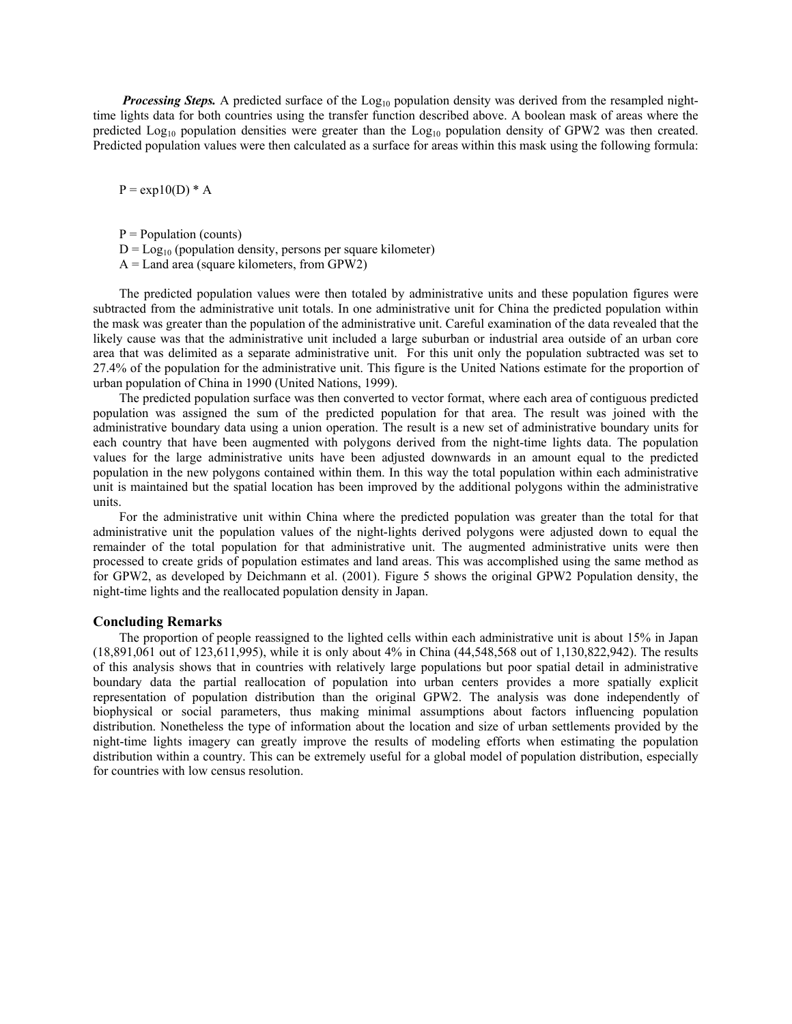*Processing Steps.* A predicted surface of the Log<sub>10</sub> population density was derived from the resampled nighttime lights data for both countries using the transfer function described above. A boolean mask of areas where the predicted  $Log_{10}$  population densities were greater than the  $Log_{10}$  population density of GPW2 was then created. Predicted population values were then calculated as a surface for areas within this mask using the following formula:

 $P = exp10(D) * A$ 

 $P = Population (counts)$ 

- $D = Log_{10}$  (population density, persons per square kilometer)
- $A =$ Land area (square kilometers, from GPW2)

The predicted population values were then totaled by administrative units and these population figures were subtracted from the administrative unit totals. In one administrative unit for China the predicted population within the mask was greater than the population of the administrative unit. Careful examination of the data revealed that the likely cause was that the administrative unit included a large suburban or industrial area outside of an urban core area that was delimited as a separate administrative unit. For this unit only the population subtracted was set to 27.4% of the population for the administrative unit. This figure is the United Nations estimate for the proportion of urban population of China in 1990 (United Nations, 1999).

The predicted population surface was then converted to vector format, where each area of contiguous predicted population was assigned the sum of the predicted population for that area. The result was joined with the administrative boundary data using a union operation. The result is a new set of administrative boundary units for each country that have been augmented with polygons derived from the night-time lights data. The population values for the large administrative units have been adjusted downwards in an amount equal to the predicted population in the new polygons contained within them. In this way the total population within each administrative unit is maintained but the spatial location has been improved by the additional polygons within the administrative units.

For the administrative unit within China where the predicted population was greater than the total for that administrative unit the population values of the night-lights derived polygons were adjusted down to equal the remainder of the total population for that administrative unit. The augmented administrative units were then processed to create grids of population estimates and land areas. This was accomplished using the same method as for GPW2, as developed by Deichmann et al. (2001). Figure 5 shows the original GPW2 Population density, the night-time lights and the reallocated population density in Japan.

### **Concluding Remarks**

The proportion of people reassigned to the lighted cells within each administrative unit is about 15% in Japan (18,891,061 out of 123,611,995), while it is only about 4% in China (44,548,568 out of 1,130,822,942). The results of this analysis shows that in countries with relatively large populations but poor spatial detail in administrative boundary data the partial reallocation of population into urban centers provides a more spatially explicit representation of population distribution than the original GPW2. The analysis was done independently of biophysical or social parameters, thus making minimal assumptions about factors influencing population distribution. Nonetheless the type of information about the location and size of urban settlements provided by the night-time lights imagery can greatly improve the results of modeling efforts when estimating the population distribution within a country. This can be extremely useful for a global model of population distribution, especially for countries with low census resolution.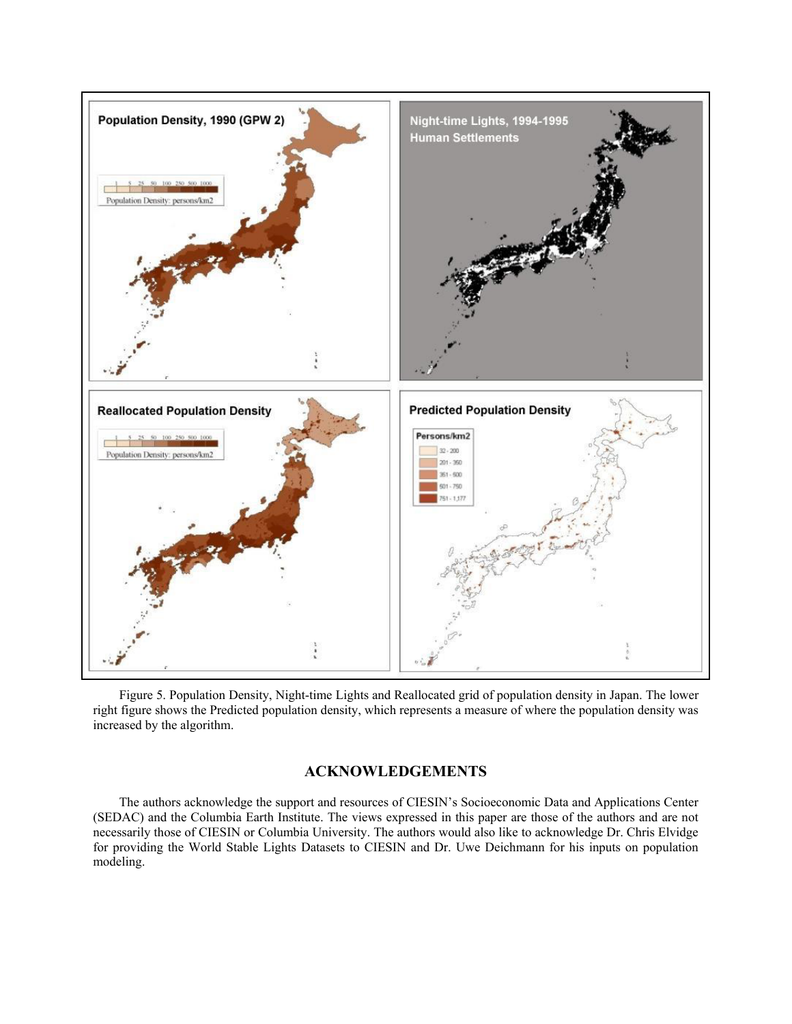

Figure 5. Population Density, Night-time Lights and Reallocated grid of population density in Japan. The lower right figure shows the Predicted population density, which represents a measure of where the population density was increased by the algorithm.

# **ACKNOWLEDGEMENTS**

The authors acknowledge the support and resources of CIESIN's Socioeconomic Data and Applications Center (SEDAC) and the Columbia Earth Institute. The views expressed in this paper are those of the authors and are not necessarily those of CIESIN or Columbia University. The authors would also like to acknowledge Dr. Chris Elvidge for providing the World Stable Lights Datasets to CIESIN and Dr. Uwe Deichmann for his inputs on population modeling.